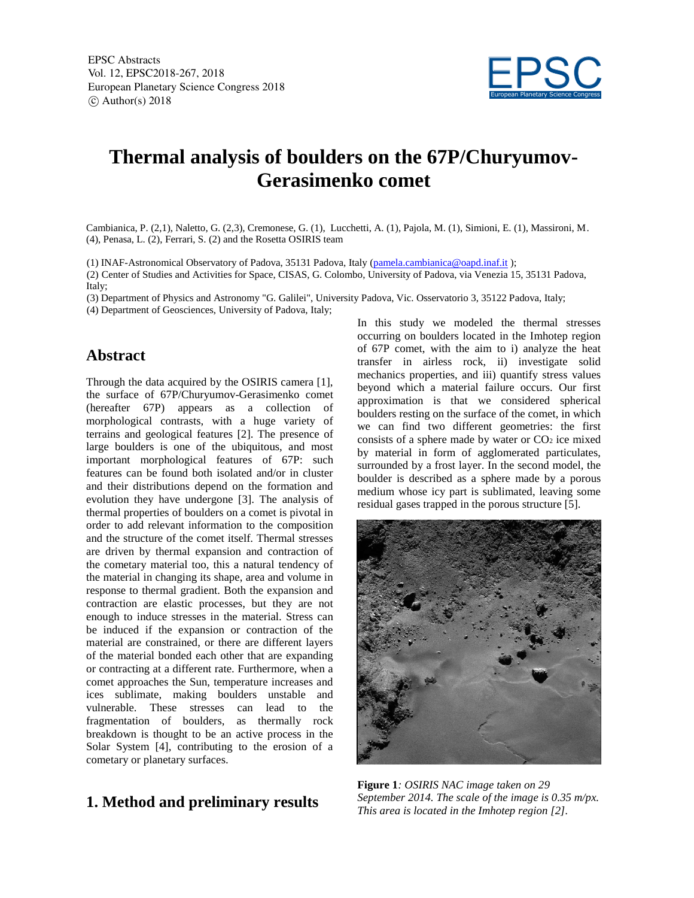

# **Thermal analysis of boulders on the 67P/Churyumov-Gerasimenko comet**

Cambianica, P. (2,1), Naletto, G. (2,3), Cremonese, G. (1), Lucchetti, A. (1), Pajola, M. (1), Simioni, E. (1), Massironi, M. (4), Penasa, L. (2), Ferrari, S. (2) and the Rosetta OSIRIS team

(1) INAF-Astronomical Observatory of Padova, 35131 Padova, Italy (pamela.cambianica@oapd.inaf.it );

(2) Center of Studies and Activities for Space, CISAS, G. Colombo, University of Padova, via Venezia 15, 35131 Padova, Italy;

(3) Department of Physics and Astronomy "G. Galilei", University Padova, Vic. Osservatorio 3, 35122 Padova, Italy;

(4) Department of Geosciences, University of Padova, Italy;

## **Abstract**

Through the data acquired by the OSIRIS camera [1], the surface of 67P/Churyumov-Gerasimenko comet (hereafter 67P) appears as a collection of morphological contrasts, with a huge variety of terrains and geological features [2]. The presence of large boulders is one of the ubiquitous, and most important morphological features of 67P: such features can be found both isolated and/or in cluster and their distributions depend on the formation and evolution they have undergone [3]. The analysis of thermal properties of boulders on a comet is pivotal in order to add relevant information to the composition and the structure of the comet itself. Thermal stresses are driven by thermal expansion and contraction of the cometary material too, this a natural tendency of the material in changing its shape, area and volume in response to thermal gradient. Both the expansion and contraction are elastic processes, but they are not enough to induce stresses in the material. Stress can be induced if the expansion or contraction of the material are constrained, or there are different layers of the material bonded each other that are expanding or contracting at a different rate. Furthermore, when a comet approaches the Sun, temperature increases and ices sublimate, making boulders unstable and vulnerable. These stresses can lead to the fragmentation of boulders, as thermally rock breakdown is thought to be an active process in the Solar System [4], contributing to the erosion of a cometary or planetary surfaces.

## **1. Method and preliminary results**

In this study we modeled the thermal stresses occurring on boulders located in the Imhotep region of 67P comet, with the aim to i) analyze the heat transfer in airless rock, ii) investigate solid mechanics properties, and iii) quantify stress values beyond which a material failure occurs. Our first approximation is that we considered spherical boulders resting on the surface of the comet, in which we can find two different geometries: the first consists of a sphere made by water or  $CO<sub>2</sub>$  ice mixed by material in form of agglomerated particulates, surrounded by a frost layer. In the second model, the boulder is described as a sphere made by a porous medium whose icy part is sublimated, leaving some residual gases trapped in the porous structure [5].



**Figure 1***: OSIRIS NAC image taken on 29 September 2014. The scale of the image is 0.35 m/px. This area is located in the Imhotep region [2].*